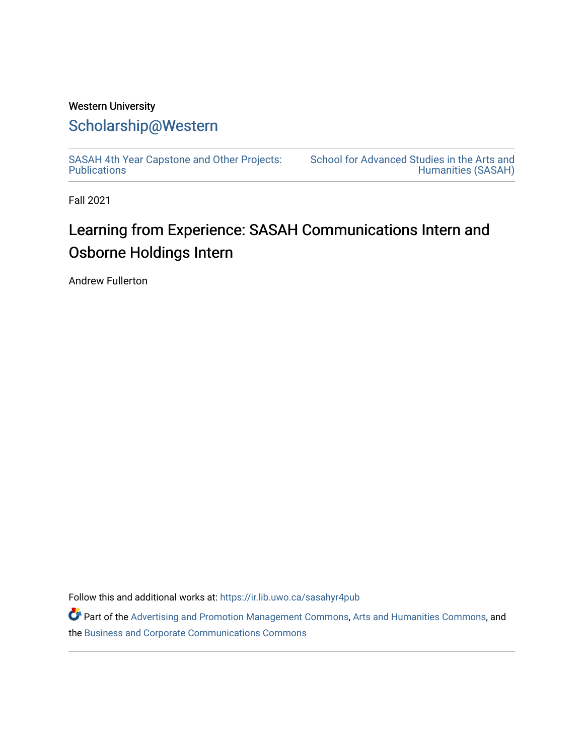# Western University [Scholarship@Western](https://ir.lib.uwo.ca/)

[SASAH 4th Year Capstone and Other Projects:](https://ir.lib.uwo.ca/sasahyr4pub)  **Publications** 

[School for Advanced Studies in the Arts and](https://ir.lib.uwo.ca/sasah)  [Humanities \(SASAH\)](https://ir.lib.uwo.ca/sasah) 

Fall 2021

# Learning from Experience: SASAH Communications Intern and Osborne Holdings Intern

Andrew Fullerton

Follow this and additional works at: [https://ir.lib.uwo.ca/sasahyr4pub](https://ir.lib.uwo.ca/sasahyr4pub?utm_source=ir.lib.uwo.ca%2Fsasahyr4pub%2F41&utm_medium=PDF&utm_campaign=PDFCoverPages) 

Part of the [Advertising and Promotion Management Commons,](http://network.bepress.com/hgg/discipline/626?utm_source=ir.lib.uwo.ca%2Fsasahyr4pub%2F41&utm_medium=PDF&utm_campaign=PDFCoverPages) [Arts and Humanities Commons,](http://network.bepress.com/hgg/discipline/438?utm_source=ir.lib.uwo.ca%2Fsasahyr4pub%2F41&utm_medium=PDF&utm_campaign=PDFCoverPages) and the [Business and Corporate Communications Commons](http://network.bepress.com/hgg/discipline/627?utm_source=ir.lib.uwo.ca%2Fsasahyr4pub%2F41&utm_medium=PDF&utm_campaign=PDFCoverPages)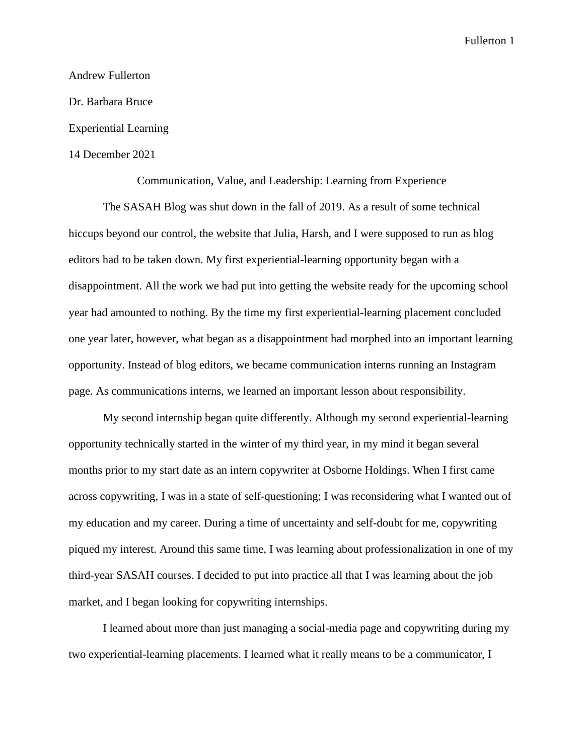# Andrew Fullerton Dr. Barbara Bruce Experiential Learning 14 December 2021

Communication, Value, and Leadership: Learning from Experience

The SASAH Blog was shut down in the fall of 2019. As a result of some technical hiccups beyond our control, the website that Julia, Harsh, and I were supposed to run as blog editors had to be taken down. My first experiential-learning opportunity began with a disappointment. All the work we had put into getting the website ready for the upcoming school year had amounted to nothing. By the time my first experiential-learning placement concluded one year later, however, what began as a disappointment had morphed into an important learning opportunity. Instead of blog editors, we became communication interns running an Instagram page. As communications interns, we learned an important lesson about responsibility.

My second internship began quite differently. Although my second experiential-learning opportunity technically started in the winter of my third year, in my mind it began several months prior to my start date as an intern copywriter at Osborne Holdings. When I first came across copywriting, I was in a state of self-questioning; I was reconsidering what I wanted out of my education and my career. During a time of uncertainty and self-doubt for me, copywriting piqued my interest. Around this same time, I was learning about professionalization in one of my third-year SASAH courses. I decided to put into practice all that I was learning about the job market, and I began looking for copywriting internships.

I learned about more than just managing a social-media page and copywriting during my two experiential-learning placements. I learned what it really means to be a communicator, I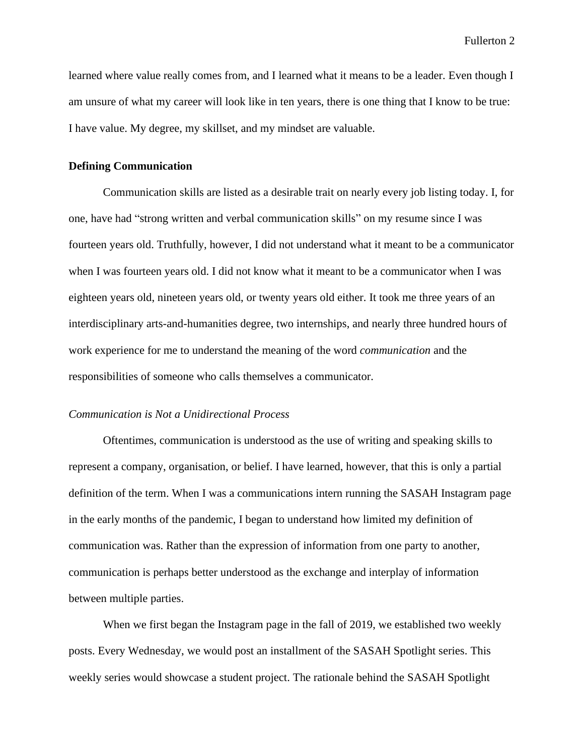learned where value really comes from, and I learned what it means to be a leader. Even though I am unsure of what my career will look like in ten years, there is one thing that I know to be true: I have value. My degree, my skillset, and my mindset are valuable.

#### **Defining Communication**

Communication skills are listed as a desirable trait on nearly every job listing today. I, for one, have had "strong written and verbal communication skills" on my resume since I was fourteen years old. Truthfully, however, I did not understand what it meant to be a communicator when I was fourteen years old. I did not know what it meant to be a communicator when I was eighteen years old, nineteen years old, or twenty years old either. It took me three years of an interdisciplinary arts-and-humanities degree, two internships, and nearly three hundred hours of work experience for me to understand the meaning of the word *communication* and the responsibilities of someone who calls themselves a communicator.

# *Communication is Not a Unidirectional Process*

Oftentimes, communication is understood as the use of writing and speaking skills to represent a company, organisation, or belief. I have learned, however, that this is only a partial definition of the term. When I was a communications intern running the SASAH Instagram page in the early months of the pandemic, I began to understand how limited my definition of communication was. Rather than the expression of information from one party to another, communication is perhaps better understood as the exchange and interplay of information between multiple parties.

When we first began the Instagram page in the fall of 2019, we established two weekly posts. Every Wednesday, we would post an installment of the SASAH Spotlight series. This weekly series would showcase a student project. The rationale behind the SASAH Spotlight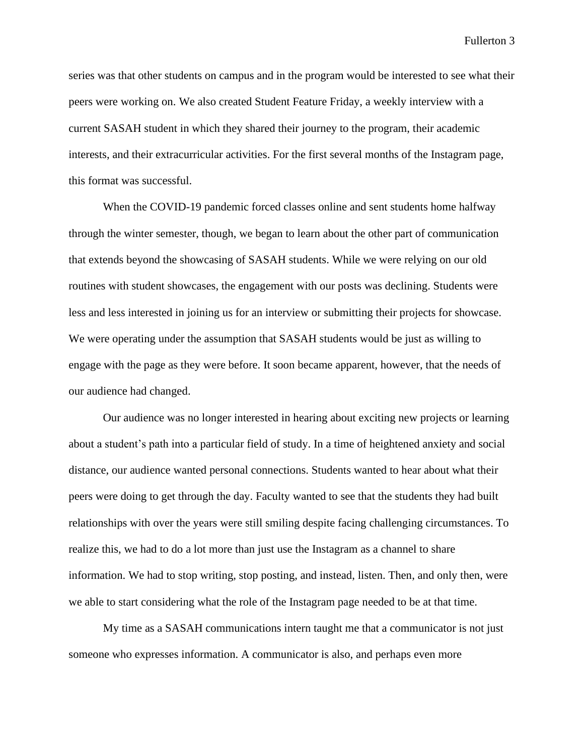series was that other students on campus and in the program would be interested to see what their peers were working on. We also created Student Feature Friday, a weekly interview with a current SASAH student in which they shared their journey to the program, their academic interests, and their extracurricular activities. For the first several months of the Instagram page, this format was successful.

When the COVID-19 pandemic forced classes online and sent students home halfway through the winter semester, though, we began to learn about the other part of communication that extends beyond the showcasing of SASAH students. While we were relying on our old routines with student showcases, the engagement with our posts was declining. Students were less and less interested in joining us for an interview or submitting their projects for showcase. We were operating under the assumption that SASAH students would be just as willing to engage with the page as they were before. It soon became apparent, however, that the needs of our audience had changed.

Our audience was no longer interested in hearing about exciting new projects or learning about a student's path into a particular field of study. In a time of heightened anxiety and social distance, our audience wanted personal connections. Students wanted to hear about what their peers were doing to get through the day. Faculty wanted to see that the students they had built relationships with over the years were still smiling despite facing challenging circumstances. To realize this, we had to do a lot more than just use the Instagram as a channel to share information. We had to stop writing, stop posting, and instead, listen. Then, and only then, were we able to start considering what the role of the Instagram page needed to be at that time.

My time as a SASAH communications intern taught me that a communicator is not just someone who expresses information. A communicator is also, and perhaps even more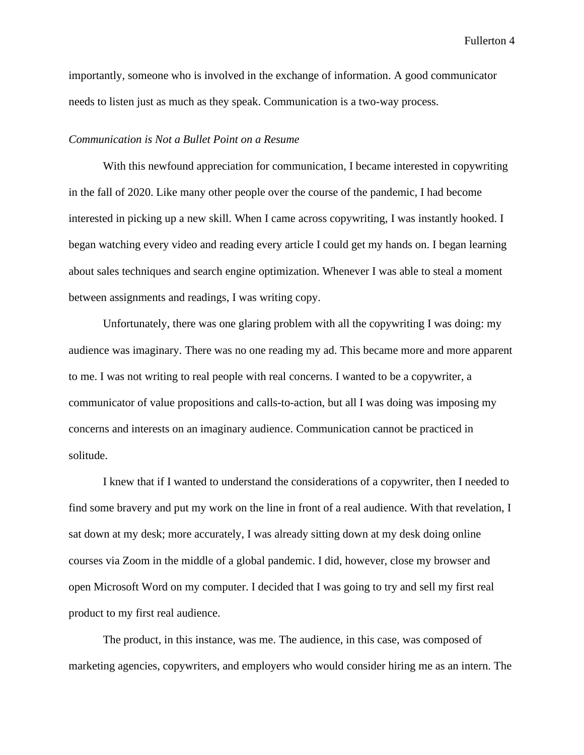importantly, someone who is involved in the exchange of information. A good communicator needs to listen just as much as they speak. Communication is a two-way process.

#### *Communication is Not a Bullet Point on a Resume*

With this newfound appreciation for communication, I became interested in copywriting in the fall of 2020. Like many other people over the course of the pandemic, I had become interested in picking up a new skill. When I came across copywriting, I was instantly hooked. I began watching every video and reading every article I could get my hands on. I began learning about sales techniques and search engine optimization. Whenever I was able to steal a moment between assignments and readings, I was writing copy.

Unfortunately, there was one glaring problem with all the copywriting I was doing: my audience was imaginary. There was no one reading my ad. This became more and more apparent to me. I was not writing to real people with real concerns. I wanted to be a copywriter, a communicator of value propositions and calls-to-action, but all I was doing was imposing my concerns and interests on an imaginary audience. Communication cannot be practiced in solitude.

I knew that if I wanted to understand the considerations of a copywriter, then I needed to find some bravery and put my work on the line in front of a real audience. With that revelation, I sat down at my desk; more accurately, I was already sitting down at my desk doing online courses via Zoom in the middle of a global pandemic. I did, however, close my browser and open Microsoft Word on my computer. I decided that I was going to try and sell my first real product to my first real audience.

The product, in this instance, was me. The audience, in this case, was composed of marketing agencies, copywriters, and employers who would consider hiring me as an intern. The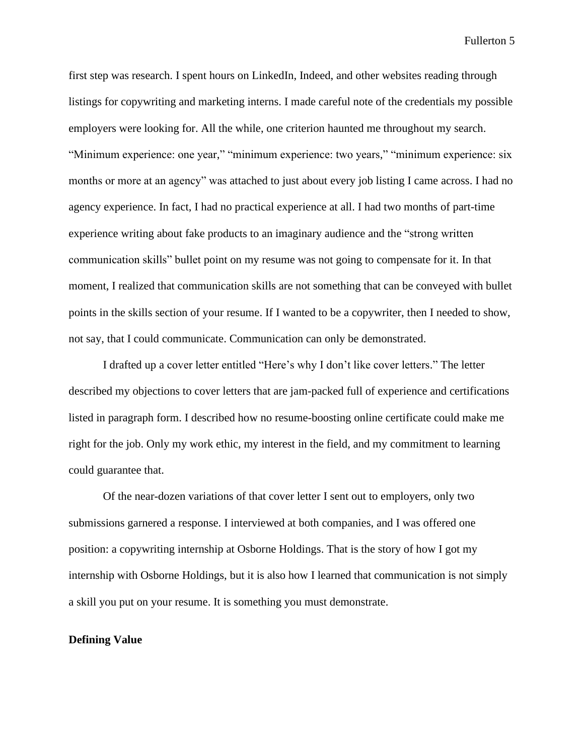first step was research. I spent hours on LinkedIn, Indeed, and other websites reading through listings for copywriting and marketing interns. I made careful note of the credentials my possible employers were looking for. All the while, one criterion haunted me throughout my search. "Minimum experience: one year," "minimum experience: two years," "minimum experience: six months or more at an agency" was attached to just about every job listing I came across. I had no agency experience. In fact, I had no practical experience at all. I had two months of part-time experience writing about fake products to an imaginary audience and the "strong written communication skills" bullet point on my resume was not going to compensate for it. In that moment, I realized that communication skills are not something that can be conveyed with bullet points in the skills section of your resume. If I wanted to be a copywriter, then I needed to show, not say, that I could communicate. Communication can only be demonstrated.

I drafted up a cover letter entitled "Here's why I don't like cover letters." The letter described my objections to cover letters that are jam-packed full of experience and certifications listed in paragraph form. I described how no resume-boosting online certificate could make me right for the job. Only my work ethic, my interest in the field, and my commitment to learning could guarantee that.

Of the near-dozen variations of that cover letter I sent out to employers, only two submissions garnered a response. I interviewed at both companies, and I was offered one position: a copywriting internship at Osborne Holdings. That is the story of how I got my internship with Osborne Holdings, but it is also how I learned that communication is not simply a skill you put on your resume. It is something you must demonstrate.

### **Defining Value**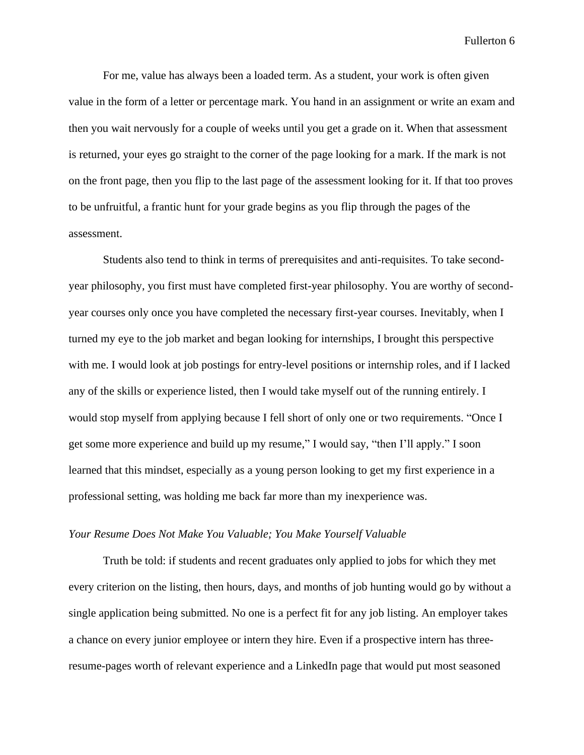For me, value has always been a loaded term. As a student, your work is often given value in the form of a letter or percentage mark. You hand in an assignment or write an exam and then you wait nervously for a couple of weeks until you get a grade on it. When that assessment is returned, your eyes go straight to the corner of the page looking for a mark. If the mark is not on the front page, then you flip to the last page of the assessment looking for it. If that too proves to be unfruitful, a frantic hunt for your grade begins as you flip through the pages of the assessment.

Students also tend to think in terms of prerequisites and anti-requisites. To take secondyear philosophy, you first must have completed first-year philosophy. You are worthy of secondyear courses only once you have completed the necessary first-year courses. Inevitably, when I turned my eye to the job market and began looking for internships, I brought this perspective with me. I would look at job postings for entry-level positions or internship roles, and if I lacked any of the skills or experience listed, then I would take myself out of the running entirely. I would stop myself from applying because I fell short of only one or two requirements. "Once I get some more experience and build up my resume," I would say, "then I'll apply." I soon learned that this mindset, especially as a young person looking to get my first experience in a professional setting, was holding me back far more than my inexperience was.

# *Your Resume Does Not Make You Valuable; You Make Yourself Valuable*

Truth be told: if students and recent graduates only applied to jobs for which they met every criterion on the listing, then hours, days, and months of job hunting would go by without a single application being submitted. No one is a perfect fit for any job listing. An employer takes a chance on every junior employee or intern they hire. Even if a prospective intern has threeresume-pages worth of relevant experience and a LinkedIn page that would put most seasoned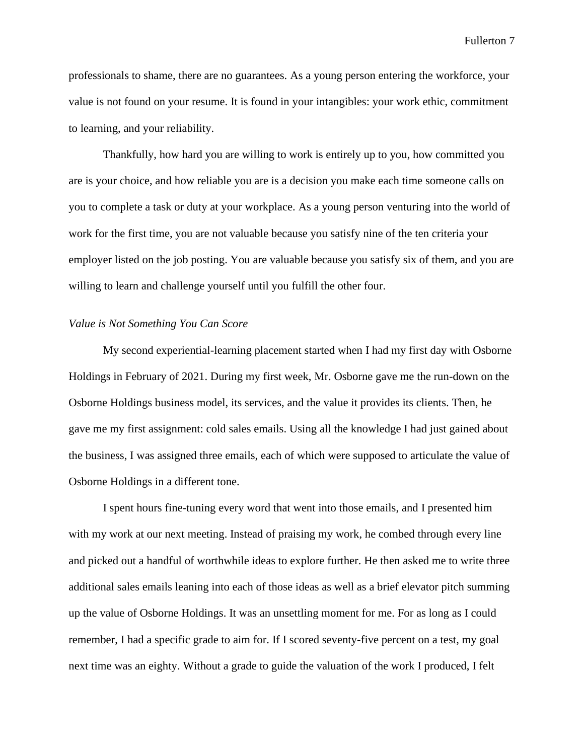professionals to shame, there are no guarantees. As a young person entering the workforce, your value is not found on your resume. It is found in your intangibles: your work ethic, commitment to learning, and your reliability.

Thankfully, how hard you are willing to work is entirely up to you, how committed you are is your choice, and how reliable you are is a decision you make each time someone calls on you to complete a task or duty at your workplace. As a young person venturing into the world of work for the first time, you are not valuable because you satisfy nine of the ten criteria your employer listed on the job posting. You are valuable because you satisfy six of them, and you are willing to learn and challenge yourself until you fulfill the other four.

#### *Value is Not Something You Can Score*

My second experiential-learning placement started when I had my first day with Osborne Holdings in February of 2021. During my first week, Mr. Osborne gave me the run-down on the Osborne Holdings business model, its services, and the value it provides its clients. Then, he gave me my first assignment: cold sales emails. Using all the knowledge I had just gained about the business, I was assigned three emails, each of which were supposed to articulate the value of Osborne Holdings in a different tone.

I spent hours fine-tuning every word that went into those emails, and I presented him with my work at our next meeting. Instead of praising my work, he combed through every line and picked out a handful of worthwhile ideas to explore further. He then asked me to write three additional sales emails leaning into each of those ideas as well as a brief elevator pitch summing up the value of Osborne Holdings. It was an unsettling moment for me. For as long as I could remember, I had a specific grade to aim for. If I scored seventy-five percent on a test, my goal next time was an eighty. Without a grade to guide the valuation of the work I produced, I felt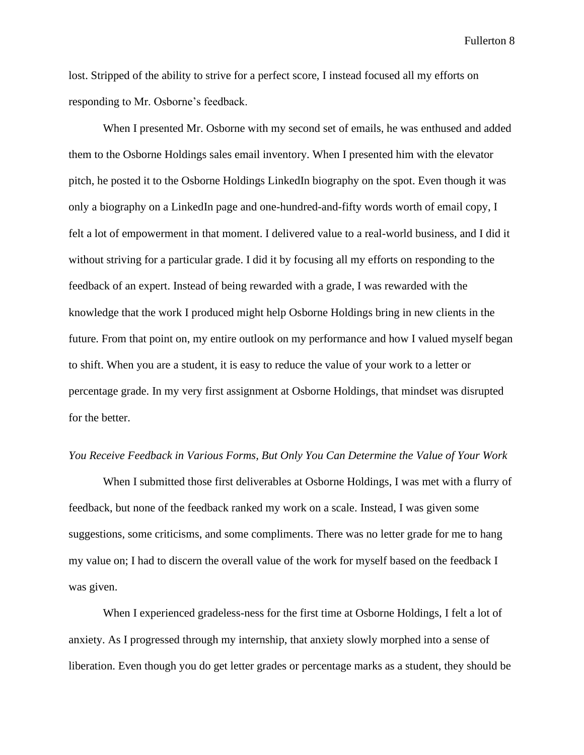lost. Stripped of the ability to strive for a perfect score, I instead focused all my efforts on responding to Mr. Osborne's feedback.

When I presented Mr. Osborne with my second set of emails, he was enthused and added them to the Osborne Holdings sales email inventory. When I presented him with the elevator pitch, he posted it to the Osborne Holdings LinkedIn biography on the spot. Even though it was only a biography on a LinkedIn page and one-hundred-and-fifty words worth of email copy, I felt a lot of empowerment in that moment. I delivered value to a real-world business, and I did it without striving for a particular grade. I did it by focusing all my efforts on responding to the feedback of an expert. Instead of being rewarded with a grade, I was rewarded with the knowledge that the work I produced might help Osborne Holdings bring in new clients in the future. From that point on, my entire outlook on my performance and how I valued myself began to shift. When you are a student, it is easy to reduce the value of your work to a letter or percentage grade. In my very first assignment at Osborne Holdings, that mindset was disrupted for the better.

#### *You Receive Feedback in Various Forms, But Only You Can Determine the Value of Your Work*

When I submitted those first deliverables at Osborne Holdings, I was met with a flurry of feedback, but none of the feedback ranked my work on a scale. Instead, I was given some suggestions, some criticisms, and some compliments. There was no letter grade for me to hang my value on; I had to discern the overall value of the work for myself based on the feedback I was given.

When I experienced gradeless-ness for the first time at Osborne Holdings, I felt a lot of anxiety. As I progressed through my internship, that anxiety slowly morphed into a sense of liberation. Even though you do get letter grades or percentage marks as a student, they should be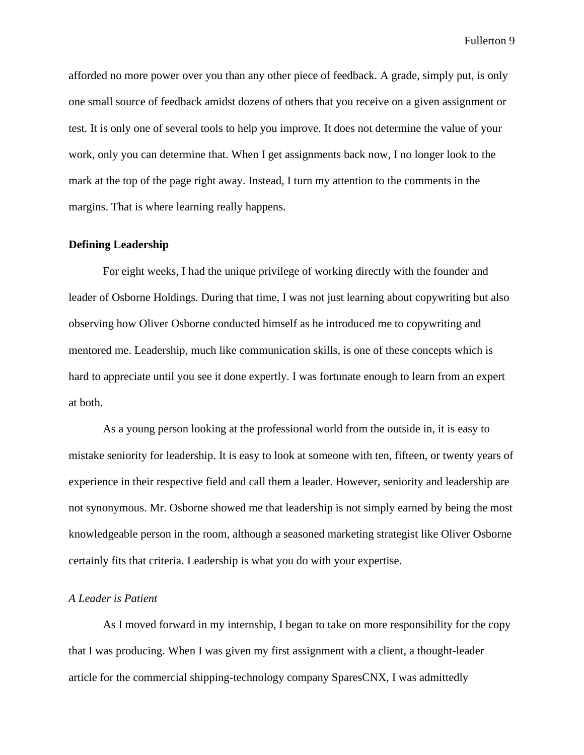afforded no more power over you than any other piece of feedback. A grade, simply put, is only one small source of feedback amidst dozens of others that you receive on a given assignment or test. It is only one of several tools to help you improve. It does not determine the value of your work, only you can determine that. When I get assignments back now, I no longer look to the mark at the top of the page right away. Instead, I turn my attention to the comments in the margins. That is where learning really happens.

#### **Defining Leadership**

For eight weeks, I had the unique privilege of working directly with the founder and leader of Osborne Holdings. During that time, I was not just learning about copywriting but also observing how Oliver Osborne conducted himself as he introduced me to copywriting and mentored me. Leadership, much like communication skills, is one of these concepts which is hard to appreciate until you see it done expertly. I was fortunate enough to learn from an expert at both.

As a young person looking at the professional world from the outside in, it is easy to mistake seniority for leadership. It is easy to look at someone with ten, fifteen, or twenty years of experience in their respective field and call them a leader. However, seniority and leadership are not synonymous. Mr. Osborne showed me that leadership is not simply earned by being the most knowledgeable person in the room, although a seasoned marketing strategist like Oliver Osborne certainly fits that criteria. Leadership is what you do with your expertise.

# *A Leader is Patient*

As I moved forward in my internship, I began to take on more responsibility for the copy that I was producing. When I was given my first assignment with a client, a thought-leader article for the commercial shipping-technology company SparesCNX, I was admittedly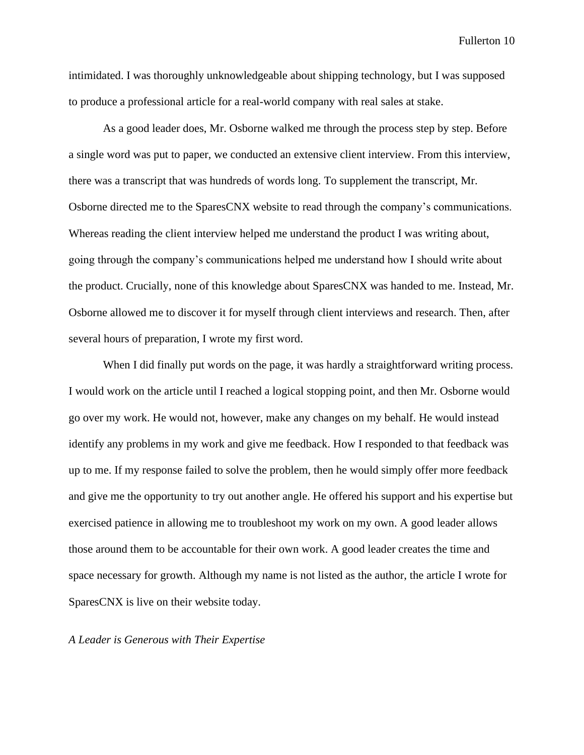intimidated. I was thoroughly unknowledgeable about shipping technology, but I was supposed to produce a professional article for a real-world company with real sales at stake.

As a good leader does, Mr. Osborne walked me through the process step by step. Before a single word was put to paper, we conducted an extensive client interview. From this interview, there was a transcript that was hundreds of words long. To supplement the transcript, Mr. Osborne directed me to the SparesCNX website to read through the company's communications. Whereas reading the client interview helped me understand the product I was writing about, going through the company's communications helped me understand how I should write about the product. Crucially, none of this knowledge about SparesCNX was handed to me. Instead, Mr. Osborne allowed me to discover it for myself through client interviews and research. Then, after several hours of preparation, I wrote my first word.

When I did finally put words on the page, it was hardly a straightforward writing process. I would work on the article until I reached a logical stopping point, and then Mr. Osborne would go over my work. He would not, however, make any changes on my behalf. He would instead identify any problems in my work and give me feedback. How I responded to that feedback was up to me. If my response failed to solve the problem, then he would simply offer more feedback and give me the opportunity to try out another angle. He offered his support and his expertise but exercised patience in allowing me to troubleshoot my work on my own. A good leader allows those around them to be accountable for their own work. A good leader creates the time and space necessary for growth. Although my name is not listed as the author, the article I wrote for SparesCNX is live on their website today.

### *A Leader is Generous with Their Expertise*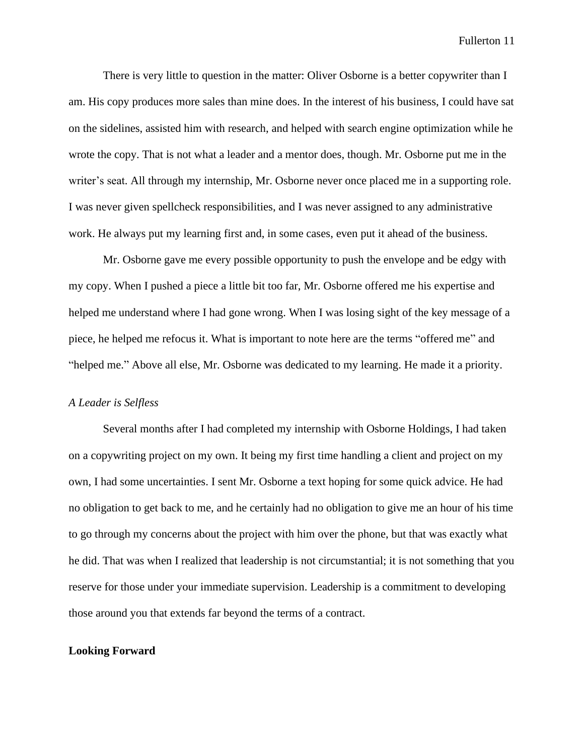There is very little to question in the matter: Oliver Osborne is a better copywriter than I am. His copy produces more sales than mine does. In the interest of his business, I could have sat on the sidelines, assisted him with research, and helped with search engine optimization while he wrote the copy. That is not what a leader and a mentor does, though. Mr. Osborne put me in the writer's seat. All through my internship, Mr. Osborne never once placed me in a supporting role. I was never given spellcheck responsibilities, and I was never assigned to any administrative work. He always put my learning first and, in some cases, even put it ahead of the business.

Mr. Osborne gave me every possible opportunity to push the envelope and be edgy with my copy. When I pushed a piece a little bit too far, Mr. Osborne offered me his expertise and helped me understand where I had gone wrong. When I was losing sight of the key message of a piece, he helped me refocus it. What is important to note here are the terms "offered me" and "helped me." Above all else, Mr. Osborne was dedicated to my learning. He made it a priority.

# *A Leader is Selfless*

Several months after I had completed my internship with Osborne Holdings, I had taken on a copywriting project on my own. It being my first time handling a client and project on my own, I had some uncertainties. I sent Mr. Osborne a text hoping for some quick advice. He had no obligation to get back to me, and he certainly had no obligation to give me an hour of his time to go through my concerns about the project with him over the phone, but that was exactly what he did. That was when I realized that leadership is not circumstantial; it is not something that you reserve for those under your immediate supervision. Leadership is a commitment to developing those around you that extends far beyond the terms of a contract.

#### **Looking Forward**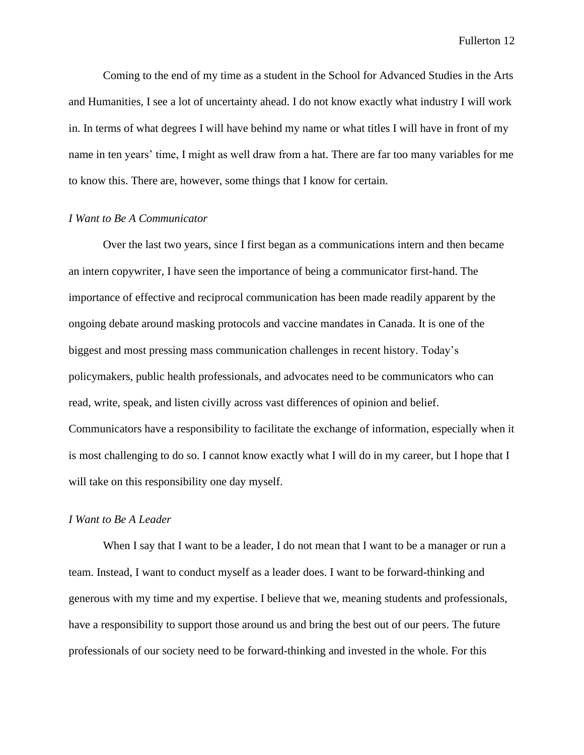Coming to the end of my time as a student in the School for Advanced Studies in the Arts and Humanities, I see a lot of uncertainty ahead. I do not know exactly what industry I will work in. In terms of what degrees I will have behind my name or what titles I will have in front of my name in ten years' time, I might as well draw from a hat. There are far too many variables for me to know this. There are, however, some things that I know for certain.

#### *I Want to Be A Communicator*

Over the last two years, since I first began as a communications intern and then became an intern copywriter, I have seen the importance of being a communicator first-hand. The importance of effective and reciprocal communication has been made readily apparent by the ongoing debate around masking protocols and vaccine mandates in Canada. It is one of the biggest and most pressing mass communication challenges in recent history. Today's policymakers, public health professionals, and advocates need to be communicators who can read, write, speak, and listen civilly across vast differences of opinion and belief. Communicators have a responsibility to facilitate the exchange of information, especially when it is most challenging to do so. I cannot know exactly what I will do in my career, but I hope that I will take on this responsibility one day myself.

# *I Want to Be A Leader*

When I say that I want to be a leader, I do not mean that I want to be a manager or run a team. Instead, I want to conduct myself as a leader does. I want to be forward-thinking and generous with my time and my expertise. I believe that we, meaning students and professionals, have a responsibility to support those around us and bring the best out of our peers. The future professionals of our society need to be forward-thinking and invested in the whole. For this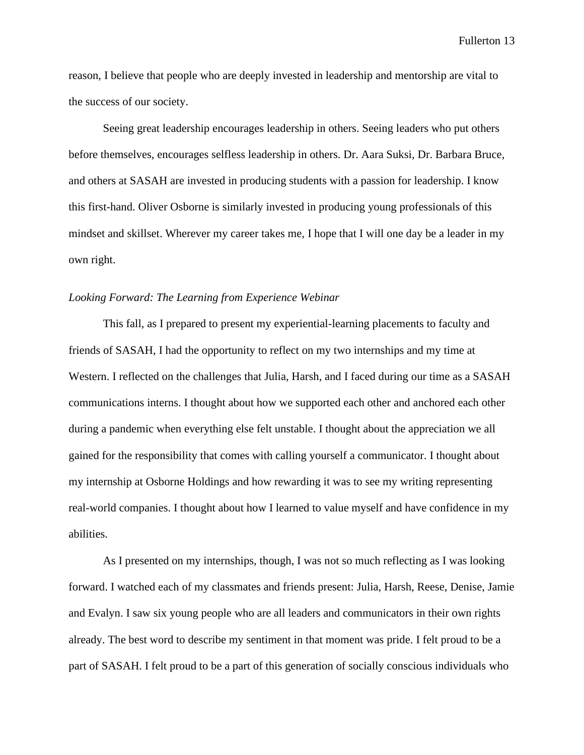reason, I believe that people who are deeply invested in leadership and mentorship are vital to the success of our society.

Seeing great leadership encourages leadership in others. Seeing leaders who put others before themselves, encourages selfless leadership in others. Dr. Aara Suksi, Dr. Barbara Bruce, and others at SASAH are invested in producing students with a passion for leadership. I know this first-hand. Oliver Osborne is similarly invested in producing young professionals of this mindset and skillset. Wherever my career takes me, I hope that I will one day be a leader in my own right.

#### *Looking Forward: The Learning from Experience Webinar*

This fall, as I prepared to present my experiential-learning placements to faculty and friends of SASAH, I had the opportunity to reflect on my two internships and my time at Western. I reflected on the challenges that Julia, Harsh, and I faced during our time as a SASAH communications interns. I thought about how we supported each other and anchored each other during a pandemic when everything else felt unstable. I thought about the appreciation we all gained for the responsibility that comes with calling yourself a communicator. I thought about my internship at Osborne Holdings and how rewarding it was to see my writing representing real-world companies. I thought about how I learned to value myself and have confidence in my abilities.

As I presented on my internships, though, I was not so much reflecting as I was looking forward. I watched each of my classmates and friends present: Julia, Harsh, Reese, Denise, Jamie and Evalyn. I saw six young people who are all leaders and communicators in their own rights already. The best word to describe my sentiment in that moment was pride. I felt proud to be a part of SASAH. I felt proud to be a part of this generation of socially conscious individuals who